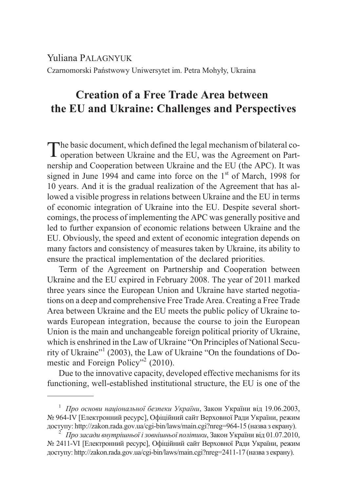Yuliana PALAGNYUK Czarnomorski Państwowy Uniwersytet im. Petra Mohyły, Ukraina

## **Creation of a Free Trade Area between the EU and Ukraine: Challenges and Perspectives**

The basic document, which defined the legal mechanism of bilateral co-<br>operation between Ukraine and the EU, was the Agreement on Partnership and Cooperation between Ukraine and the EU (the APC). It was signed in June 1994 and came into force on the  $1<sup>st</sup>$  of March, 1998 for 10 years. And it is the gradual realization of the Agreement that has allowed a visible progress in relations between Ukraine and the EU in terms of economic integration of Ukraine into the EU. Despite several shortcomings, the process of implementing the APC was generally positive and led to further expansion of economic relations between Ukraine and the EU. Obviously, the speed and extent of economic integration depends on many factors and consistency of measures taken by Ukraine, its ability to ensure the practical implementation of the declared priorities.

Term of the Agreement on Partnership and Cooperation between Ukraine and the EU expired in February 2008. The year of 2011 marked three years since the European Union and Ukraine have started negotiations on a deep and comprehensive Free Trade Area. Creating a Free Trade Area between Ukraine and the EU meets the public policy of Ukraine towards European integration, because the course to join the European Union is the main and unchangeable foreign political priority of Ukraine, which is enshrined in the Law of Ukraine "On Principles of National Security of Ukraine"<sup>1</sup> (2003), the Law of Ukraine "On the foundations of Domestic and Foreign Policy"<sup>2</sup> (2010).

Due to the innovative capacity, developed effective mechanisms for its functioning, well-established institutional structure, the EU is one of the

<sup>&</sup>lt;sup>1</sup> *Про основи національної безпеки України*, Закон України від 19.06.2003, № 964-IV [Електронний ресурс], Офіційний сайт Верховної Ради України, режим доступу: http://zakon.rada.gov.ua/cgi-bin/laws/main.cgi?nreg=964-15 (назва з екрану). <sup>2</sup> *Про засади внутрішньої і зовнішньої політики*, Закон України від 01.07.2010,

<sup>№ 2411-</sup>VI [Електронний ресурс], Офіційний сайт Верховної Ради України, режим доступу: http://zakon.rada.gov.ua/cgi-bin/laws/main.cgi?nreg=2411-17 (назва з екрану).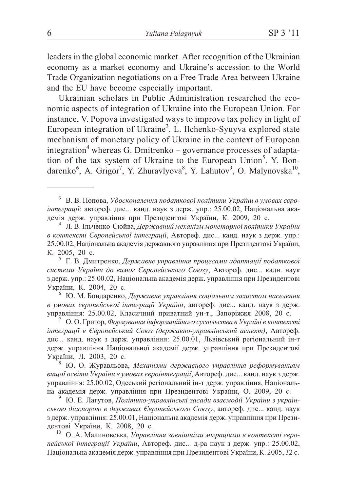leaders in the global economic market. After recognition of the Ukrainian economy as a market economy and Ukraine's accession to the World Trade Organization negotiations on a Free Trade Area between Ukraine and the EU have become especially important.

Ukrainian scholars in Public Administration researched the economic aspects of integration of Ukraine into the European Union. For instance, V. Popova investigated ways to improve tax policy in light of European integration of Ukraine<sup>3</sup>. L. Ilchenko-Syuyva explored state mechanism of monetary policy of Ukraine in the context of European integration<sup>4</sup> whereas G. Dmitrenko – governance processes of adaptation of the tax system of Ukraine to the European Union<sup>5</sup>. Y. Bondarenko<sup>6</sup>, A. Grigor<sup>7</sup>, Y. Zhuravlyova<sup>8</sup>, Y. Lahutov<sup>9</sup>, O. Malynovska<sup>10</sup>,

<sup>7</sup> О. О. Григор, Формування інформаційного суспільства в Україні в контексті *інтеграції в Європейський Союз (державно-управлінський аспект)*, Автореф. дис... канд. наук з держ. управління: 25.00.01, Львівський регіональний ін-т держ. управління Національної академії держ. управління при Президентові України, Л. 2003, 20 с.<br><sup>8</sup> Ю. О. Журавльова, *Механізми державного управління реформуванням* 

*вищої освіти України в умовах євроїнтеграції*, Автореф. дис... канд. наук з держ. управління: 25.00.02, Одеський регіональний ін-т держ. управління, Національ-на академія держ. управління при Президентові України, О. 2009, 20 с.

Ю. Е. Лагутов, Політико-управлінські засади взаємодії України з українською діаспорою в державах Європейського Союзу, автореф. дис... канд. наук з держ. управління: 25.00.01, Національна академія держ. управління при Президентові України, К. 2008, 20 с.

<sup>10</sup> О. А. Малиновська, Управління зовнішніми міграціями в контексті євролейської інтеграції України, Автореф. дис... д-ра наук з держ. упр.: 25.00.02, Національна академія держ. управління при Президентові України, К. 2005, 32 с.

 $3$  В. В. Попова, Удосконалення податкової політики України в умовах євро*інтеграції*: автореф. дис... канд. наук з держ. упр.: 25.00.02, Національна ака-демія держ. управління при Президентові України, К. 2009, 20 с.

<sup>&</sup>lt;sup>4</sup> Л. В. Ільченко-Сюйва, *Державний механізм монетарної політики України* <sup>*а</sup> контексті Європейської інтеграції*, Автореф. дис... канд. наук з держ. упр.:</sup> 25.00.02, Національна академія державного управління при Президентові України, К. 2005. 20 с.

Г. В. Дмитренко, *Державне управління процесами адаптації податкової* системи України до вимог Європейського Союзу, Автореф. дис... кадн. наук з держ. упр.: 25.00.02, Національна академія держ. управління при Президентові України, К. 2004, 20 с.

<sup>&</sup>lt;sup>6</sup> Ю. М. Бондаренко, Державне управління соціальним захистом населення *в умовах європейської інтеграції України*, автореф. дис... канд. наук з держ.<br>управління: 25.00.02, Класичний приватний ун-т., Запоріжжя 2008, 20 с.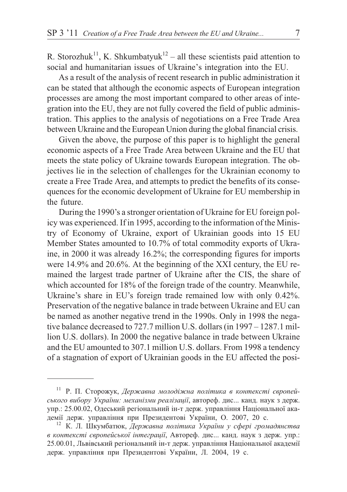R. Storozhuk<sup>11</sup>, K. Shkumbatyuk<sup>12</sup> – all these scientists paid attention to social and humanitarian issues of Ukraine's integration into the EU.

As a result of the analysis of recent research in public administration it can be stated that although the economic aspects of European integration processes are among the most important compared to other areas of integration into the EU, they are not fully covered the field of public administration. This applies to the analysis of negotiations on a Free Trade Area between Ukraine and the European Union during the global financial crisis.

Given the above, the purpose of this paper is to highlight the general economic aspects of a Free Trade Area between Ukraine and the EU that meets the state policy of Ukraine towards European integration. The objectives lie in the selection of challenges for the Ukrainian economy to create a Free Trade Area, and attempts to predict the benefits of its consequences for the economic development of Ukraine for EU membership in the future.

During the 1990's a stronger orientation of Ukraine for EU foreign policy was experienced. If in 1995, according to the information of the Ministry of Economy of Ukraine, export of Ukrainian goods into 15 EU Member States amounted to 10.7% of total commodity exports of Ukraine, in 2000 it was already 16.2%; the corresponding figures for imports were 14.9% and 20.6%. At the beginning of the XXI century, the EU remained the largest trade partner of Ukraine after the CIS, the share of which accounted for 18% of the foreign trade of the country. Meanwhile, Ukraine's share in EU's foreign trade remained low with only 0.42%. Preservation of the negative balance in trade between Ukraine and EU can be named as another negative trend in the 1990s. Only in 1998 the negative balance decreased to 727.7 million U.S. dollars (in 1997 – 1287.1 million U.S. dollars). In 2000 the negative balance in trade between Ukraine and the EU amounted to 307.1 million U.S. dollars. From 1998 a tendency of a stagnation of export of Ukrainian goods in the EU affected the posi-

<sup>&</sup>lt;sup>11</sup> Р. П. Сторожук, Державна молодіжна політика в контексті європейського вибору України: механізми реалізації, автореф. дис... канд. наук з держ. упр.: 25.00.02, Одеський регіональний ін-т держ. управління Національної академії держ. управління при Президентові України, О. 2007, 20 с.

<sup>12</sup> К. Л. Шкумбатюк, Державна політика України у сфері громадянства в контексті європейської інтеграції, Автореф. дис... канд. наук з держ. упр.: 25.00.01, Львівський регіональний ін-т держ. управління Національної академії держ. управління при Президентові України, Л. 2004, 19 с.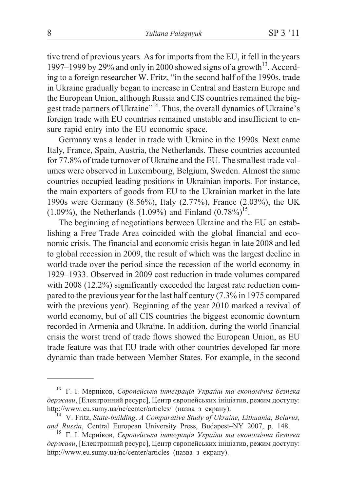tive trend of previous years. As for imports from the EU, it fell in the years 1997–1999 by 29% and only in 2000 showed signs of a growth<sup>13</sup>. According to a foreign researcher W. Fritz, "in the second half of the 1990s, trade in Ukraine gradually began to increase in Central and Eastern Europe and the European Union, although Russia and CIS countries remained the biggest trade partners of Ukraine"<sup>14</sup>. Thus, the overall dynamics of Ukraine's foreign trade with EU countries remained unstable and insufficient to ensure rapid entry into the EU economic space.

Germany was a leader in trade with Ukraine in the 1990s. Next came Italy, France, Spain, Austria, the Netherlands. These countries accounted for 77.8% of trade turnover of Ukraine and the EU. The smallest trade volumes were observed in Luxembourg, Belgium, Sweden. Almost the same countries occupied leading positions in Ukrainian imports. For instance, the main exporters of goods from EU to the Ukrainian market in the late 1990s were Germany (8.56%), Italy (2.77%), France (2.03%), the UK  $(1.09\%)$ , the Netherlands  $(1.09\%)$  and Finland  $(0.78\%)^{15}$ .

The beginning of negotiations between Ukraine and the EU on establishing a Free Trade Area coincided with the global financial and economic crisis. The financial and economic crisis began in late 2008 and led to global recession in 2009, the result of which was the largest decline in world trade over the period since the recession of the world economy in 1929–1933. Observed in 2009 cost reduction in trade volumes compared with  $2008(12.2\%)$  significantly exceeded the largest rate reduction compared to the previous year for the last half century (7.3% in 1975 compared with the previous year). Beginning of the year 2010 marked a revival of world economy, but of all CIS countries the biggest economic downturn recorded in Armenia and Ukraine. In addition, during the world financial crisis the worst trend of trade flows showed the European Union, as EU trade feature was that EU trade with other countries developed far more dynamic than trade between Member States. For example, in the second

<sup>13</sup> Г. І. Мерніков, Європейська інтеграція України та економічна безпека держави, [Електронний ресурс], Центр європейських ініціатив, режим доступу: http://www.eu.sumy.ua/nc/center/articles/ (назва з екрану).

<sup>&</sup>lt;sup>14</sup> V. Fritz, State-building. A Comparative Study of Ukraine, Lithuania, Belarus, and Russia, Central European University Press, Budapest-NY 2007, p. 148.

<sup>15</sup> Г. І. Мерніков, Європейська інтеграція України та економічна безпека держави, [Електронний ресурс], Центр європейських ініціатив, режим доступу: http://www.eu.sumy.ua/nc/center/articles (назва з екрану).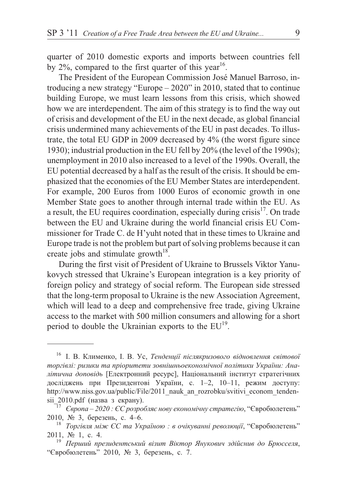quarter of 2010 domestic exports and imports between countries fell by  $2\%$ , compared to the first quarter of this year<sup>16</sup>.

The President of the European Commission José Manuel Barroso, introducing a new strategy "Europe – 2020" in 2010, stated that to continue building Europe, we must learn lessons from this crisis, which showed how we are interdependent. The aim of this strategy is to find the way out of crisis and development of the EU in the next decade, as global financial crisis undermined many achievements of the EU in past decades. To illustrate, the total EU GDP in 2009 decreased by 4% (the worst figure since 1930); industrial production in the EU fell by 20% (the level of the 1990s); unemployment in 2010 also increased to a level of the 1990s. Overall, the EU potential decreased by a half as the result of the crisis. It should be emphasized that the economies of the EU Member States are interdependent. For example, 200 Euros from 1000 Euros of economic growth in one Member State goes to another through internal trade within the EU. As a result, the EU requires coordination, especially during crisis<sup>17</sup>. On trade between the EU and Ukraine during the world financial crisis EU Commissioner for Trade C. de H'yuht noted that in these times to Ukraine and Europe trade is not the problem but part of solving problems because it can create jobs and stimulate growth $18$ .

During the first visit of President of Ukraine to Brussels Viktor Yanukovych stressed that Ukraine's European integration is a key priority of foreign policy and strategy of social reform. The European side stressed that the long-term proposal to Ukraine is the new Association Agreement, which will lead to a deep and comprehensive free trade, giving Ukraine access to the market with 500 million consumers and allowing for a short period to double the Ukrainian exports to the EU<sup>19</sup>.

<sup>&</sup>lt;sup>16</sup> І. В. Клименко, І. В. Ус, *Тенденції післякризового відновлення світової* торгівлі: ризики та пріоритети зовнішньоекономічної політики України: Аналітична доповідь [Електронний ресурс], Національний інститут стратегічних досліджень при Президентові України, с. 1–2, 10–11, режим доступу: http://www.niss.gov.ua/public/File/2011\_nauk\_an\_rozrobku/svitivi\_econom\_tendensii\_2010.pdf (назва з екрану). 17 *<sup>17</sup> Свропа* – 2020 : *ЄС розробляє нову економічну стратегію*, "Євробюлетень"

<sup>2010, № 3,</sup> березень, с. 4–6.<br><sup>18</sup> *Торгівля між ЄС та Україною : в очікуванні революції*, "Євробюлетень"

<sup>2011, № 1,</sup> с. 4.<br><sup>19</sup> *Перший президентський візит Віктор Янукович здійснив до Брюсселя*,

<sup>&</sup>quot;Євробюлетень" 2010, № 3, березень, с. 7.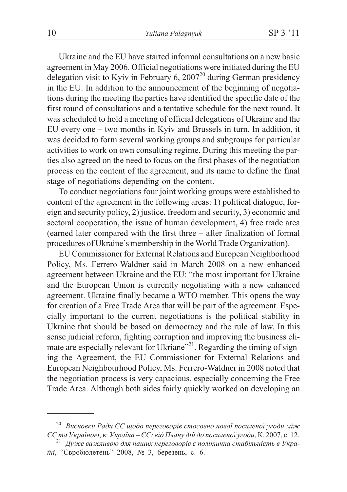Ukraine and the EU have started informal consultations on a new basic agreement in May 2006. Official negotiations were initiated during the EU delegation visit to Kyiv in February 6, 2007 $^{20}$  during German presidency in the EU. In addition to the announcement of the beginning of negotiations during the meeting the parties have identified the specific date of the first round of consultations and a tentative schedule for the next round. It was scheduled to hold a meeting of official delegations of Ukraine and the EU every one – two months in Kyiv and Brussels in turn. In addition, it was decided to form several working groups and subgroups for particular activities to work on own consulting regime. During this meeting the parties also agreed on the need to focus on the first phases of the negotiation process on the content of the agreement, and its name to define the final stage of negotiations depending on the content.

To conduct negotiations four joint working groups were established to content of the agreement in the following areas: 1) political dialogue, foreign and security policy, 2) justice, freedom and security, 3) economic and sectoral cooperation, the issue of human development, 4) free trade area (earned later compared with the first three – after finalization of formal procedures of Ukraine's membership in the World Trade Organization).

EU Commissioner for External Relations and European Neighborhood Policy, Ms. Ferrero-Waldner said in March 2008 on a new enhanced agreement between Ukraine and the EU: "the most important for Ukraine and the European Union is currently negotiating with a new enhanced agreement. Ukraine finally became a WTO member. This opens the way for creation of a Free Trade Area that will be part of the agreement. Especially important to the current negotiations is the political stability in Ukraine that should be based on democracy and the rule of law. In this sense judicial reform, fighting corruption and improving the business climate are especially relevant for Ukriane"<sup>21</sup>. Regarding the timing of signing the Agreement, the EU Commissioner for External Relations and European Neighbourhood Policy, Ms. Ferrero-Waldner in 2008 noted that the negotiation process is very capacious, especially concerning the Free Trade Area. Although both sides fairly quickly worked on developing an

<sup>&</sup>lt;sup>20</sup> *Висновки Ради ЄС щодо переговорів стосовно нової посиленої угоди між<br>ЄС та Україною, в: Україна – ЄС: від Плану дій до посиленої угоди, К. 2007, с. 12.* 

<sup>&</sup>lt;sup>21</sup> *Дуже важливою для наших переговорів є політична стабільність в Украіні*, "Євробюлетень" 2008, № 3, березень, с. 6.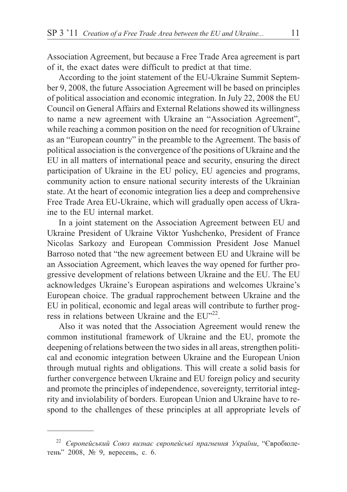Association Agreement, but because a Free Trade Area agreement is part of it, the exact dates were difficult to predict at that time.

According to the joint statement of the EU-Ukraine Summit September 9, 2008, the future Association Agreement will be based on principles of political association and economic integration. In July 22, 2008 the EU Council on General Affairs and External Relations showed its willingness to name a new agreement with Ukraine an "Association Agreement", while reaching a common position on the need for recognition of Ukraine as an "European country" in the preamble to the Agreement. The basis of political association is the convergence of the positions of Ukraine and the EU in all matters of international peace and security, ensuring the direct participation of Ukraine in the EU policy, EU agencies and programs, community action to ensure national security interests of the Ukrainian state. At the heart of economic integration lies a deep and comprehensive Free Trade Area EU-Ukraine, which will gradually open access of Ukraine to the EU internal market.

In a joint statement on the Association Agreement between EU and Ukraine President of Ukraine Viktor Yushchenko, President of France Nicolas Sarkozy and European Commission President Jose Manuel Barroso noted that "the new agreement between EU and Ukraine will be an Association Agreement, which leaves the way opened for further progressive development of relations between Ukraine and the EU. The EU acknowledges Ukraine's European aspirations and welcomes Ukraine's European choice. The gradual rapprochement between Ukraine and the EU in political, economic and legal areas will contribute to further progress in relations between Ukraine and the EU"22.

Also it was noted that the Association Agreement would renew the common institutional framework of Ukraine and the EU, promote the deepening of relations between the two sides in all areas, strengthen political and economic integration between Ukraine and the European Union through mutual rights and obligations. This will create a solid basis for further convergence between Ukraine and EU foreign policy and security and promote the principles of independence, sovereignty, territorial integrity and inviolability of borders. European Union and Ukraine have to respond to the challenges of these principles at all appropriate levels of

<sup>&</sup>lt;sup>22</sup> *Європейський Союз визнає європейські прагнення України*, "Євробюлетень" 2008, № 9, вересень, с. 6.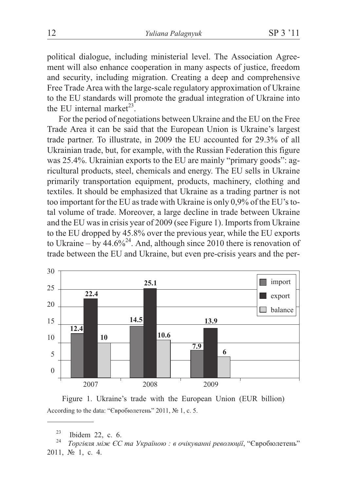political dialogue, including ministerial level. The Association Agreement will also enhance cooperation in many aspects of justice, freedom and security, including migration. Creating a deep and comprehensive Free Trade Area with the large-scale regulatory approximation of Ukraine to the EU standards will promote the gradual integration of Ukraine into the EU internal market $23$ 

For the period of negotiations between Ukraine and the EU on the Free Trade Area it can be said that the European Union is Ukraine's largest trade partner. To illustrate, in 2009 the EU accounted for 29.3% of all Ukrainian trade, but, for example, with the Russian Federation this figure was 25.4%. Ukrainian exports to the EU are mainly "primary goods": agricultural products, steel, chemicals and energy. The EU sells in Ukraine primarily transportation equipment, products, machinery, clothing and textiles. It should be emphasized that Ukraine as a trading partner is not too important for the EU as trade with Ukraine is only 0,9% of the EU's total volume of trade. Moreover, a large decline in trade between Ukraine and the EU was in crisis year of 2009 (see Figure 1). Imports from Ukraine to the EU dropped by 45.8% over the previous year, while the EU exports to Ukraine – by  $44.6\%^{24}$ . And, although since 2010 there is renovation of trade between the EU and Ukraine, but even pre-crisis years and the per-



Figure 1. Ukraine's trade with the European Union (EUR billion) According to the data: "Євробюлетень" 2011, № 1, с. 5.

<sup>&</sup>lt;sup>23</sup> Ibidem 22, с. 6.<br><sup>24</sup> *Торгівля між ЄС та Україною : в очікуванні революції*, "Євробюлетень" 2011,  $\mathcal{N}$  1, c. 4.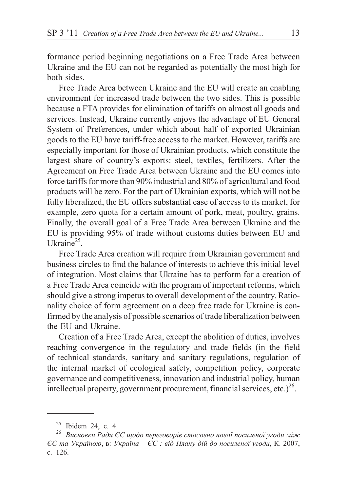formance period beginning negotiations on a Free Trade Area between Ukraine and the EU can not be regarded as potentially the most high for both sides.

Free Trade Area between Ukraine and the EU will create an enabling environment for increased trade between the two sides. This is possible because a FTA provides for elimination of tariffs on almost all goods and services. Instead, Ukraine currently enjoys the advantage of EU General System of Preferences, under which about half of exported Ukrainian goods to the EU have tariff-free access to the market. However, tariffs are especially important for those of Ukrainian products, which constitute the largest share of country's exports: steel, textiles, fertilizers. After the Agreement on Free Trade Area between Ukraine and the EU comes into force tariffs for more than 90% industrial and 80% of agricultural and food products will be zero. For the part of Ukrainian exports, which will not be fully liberalized, the EU offers substantial ease of access to its market, for example, zero quota for a certain amount of pork, meat, poultry, grains. Finally, the overall goal of a Free Trade Area between Ukraine and the EU is providing 95% of trade without customs duties between EU and Ukrain $e^{25}$ .

Free Trade Area creation will require from Ukrainian government and business circles to find the balance of interests to achieve this initial level of integration. Most claims that Ukraine has to perform for a creation of a Free Trade Area coincide with the program of important reforms, which should give a strong impetus to overall development of the country. Rationality choice of form agreement on a deep free trade for Ukraine is confirmed by the analysis of possible scenarios of trade liberalization between the EU and Ukraine

Creation of a Free Trade Area, except the abolition of duties, involves reaching convergence in the regulatory and trade fields (in the field of technical standards, sanitary and sanitary regulations, regulation of the internal market of ecological safety, competition policy, corporate governance and competitiveness, innovation and industrial policy, human intellectual property, government procurement, financial services, etc.)<sup>26</sup>.

 $25$  Ibidem 24, c. 4.

<sup>&</sup>lt;sup>26</sup> Висновки Ради ЄС щодо переговорів стосовно нової посиленої угоди між  $\epsilon$ С та Україною, в: Україна –  $\epsilon$ С : від Плану дій до посиленої угоди, К. 2007, c. 126.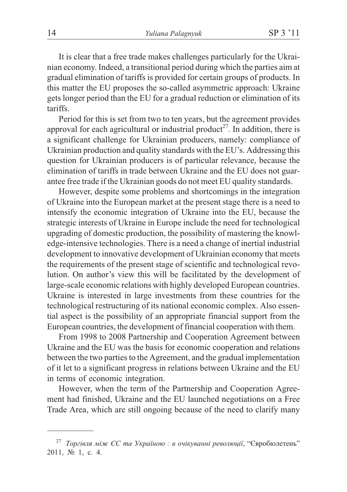It is clear that a free trade makes challenges particularly for the Ukrainian economy. Indeed, a transitional period during which the parties aim at gradual elimination of tariffs is provided for certain groups of products. In this matter the EU proposes the so-called asymmetric approach: Ukraine gets longer period than the EU for a gradual reduction or elimination of its tariffs.

Period for this is set from two to ten years, but the agreement provides approval for each agricultural or industrial product<sup>27</sup>. In addition, there is a significant challenge for Ukrainian producers, namely: compliance of Ukrainian production and quality standards with the EU's. Addressing this question for Ukrainian producers is of particular relevance, because the elimination of tariffs in trade between Ukraine and the EU does not guarantee free trade if the Ukrainian goods do not meet EU quality standards.

However, despite some problems and shortcomings in the integration of Ukraine into the European market at the present stage there is a need to intensify the economic integration of Ukraine into the EU, because the strategic interests of Ukraine in Europe include the need for technological upgrading of domestic production, the possibility of mastering the knowledge-intensive technologies. There is a need a change of inertial industrial development to innovative development of Ukrainian economy that meets the requirements of the present stage of scientific and technological revolution. On author's view this will be facilitated by the development of large-scale economic relations with highly developed European countries. Ukraine is interested in large investments from these countries for the technological restructuring of its national economic complex. Also essential aspect is the possibility of an appropriate financial support from the European countries, the development of financial cooperation with them.

From 1998 to 2008 Partnership and Cooperation Agreement between Ukraine and the EU was the basis for economic cooperation and relations between the two parties to the Agreement, and the gradual implementation of it let to a significant progress in relations between Ukraine and the EU in terms of economic integration.

However, when the term of the Partnership and Cooperation Agreement had finished, Ukraine and the EU launched negotiations on a Free Trade Area, which are still ongoing because of the need to clarify many

<sup>&</sup>lt;sup>27</sup> Торгівля між ЄС та Україною: в очікуванні революції, "Євробюлетень" 2011, № 1, с. 4.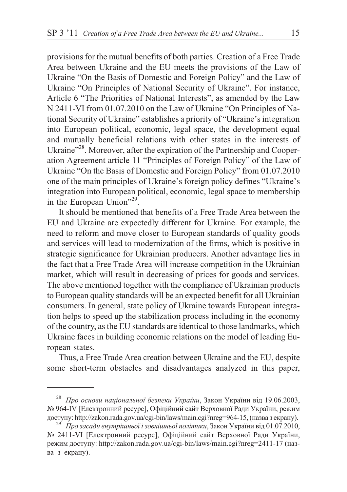provisions for the mutual benefits of both parties. Creation of a Free Trade Area between Ukraine and the EU meets the provisions of the Law of Ukraine "On the Basis of Domestic and Foreign Policy" and the Law of Ukraine "On Principles of National Security of Ukraine". For instance, Article 6 "The Priorities of National Interests", as amended by the Law N 2411-VI from 01.07.2010 on the Law of Ukraine "On Principles of National Security of Ukraine" establishes a priority of "Ukraine's integration into European political, economic, legal space, the development equal and mutually beneficial relations with other states in the interests of Ukraine"<sup>28</sup>. Moreover, after the expiration of the Partnership and Cooperation Agreement article 11 "Principles of Foreign Policy" of the Law of Ukraine "On the Basis of Domestic and Foreign Policy" from 01.07.2010 one of the main principles of Ukraine's foreign policy defines "Ukraine's integration into European political, economic, legal space to membership in the European Union"29.

It should be mentioned that benefits of a Free Trade Area between the EU and Ukraine are expectedly different for Ukraine. For example, the need to reform and move closer to European standards of quality goods and services will lead to modernization of the firms, which is positive in strategic significance for Ukrainian producers. Another advantage lies in the fact that a Free Trade Area will increase competition in the Ukrainian market, which will result in decreasing of prices for goods and services. The above mentioned together with the compliance of Ukrainian products to European quality standards will be an expected benefit for all Ukrainian consumers. In general, state policy of Ukraine towards European integration helps to speed up the stabilization process including in the economy of the country, as the EU standards are identical to those landmarks, which Ukraine faces in building economic relations on the model of leading European states.

Thus, a Free Trade Area creation between Ukraine and the EU, despite some short-term obstacles and disadvantages analyzed in this paper,

<sup>&</sup>lt;sup>28</sup> *Про основи національної безпеки України*, Закон України від 19.06.2003, № 964-IV [Електронний ресурс], Офіційний сайт Верховної Ради України, режим доступу: http://zakon.rada.gov.ua/cgi-bin/laws/main.cgi?nreg=964-15, (назва з екрану). <sup>29</sup> *Про засади внутрішньої і зовнішньої політики*, Закон України від 01.07.2010,

<sup>№ 2411-</sup>VI [Електронний ресурс], Офіційний сайт Верховної Ради України, режим доступу: http://zakon.rada.gov.ua/cgi-bin/laws/main.cgi?nreg=2411-17 (назва з екрану).